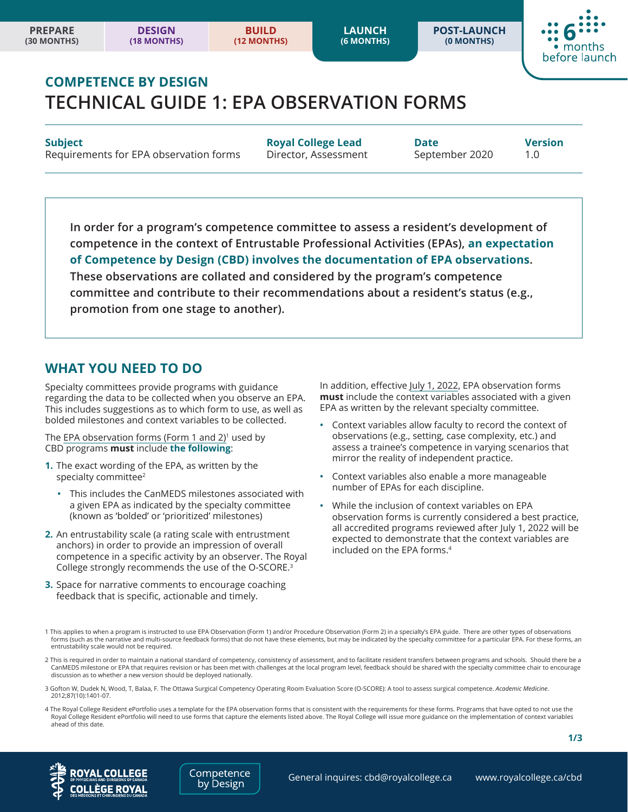**POST-LAUNCH (0 MONTHS)**



# **COMPETENCE BY DESIGN TECHNICAL GUIDE 1: EPA OBSERVATION FORMS**

Requirements for EPA observation forms Director, Assessment September 2020 1.0

**Subject Royal College Lead Date Version**

**In order for a program's competence committee to assess a resident's development of competence in the context of Entrustable Professional Activities (EPAs), an expectation of Competence by Design (CBD) involves the documentation of EPA observations. These observations are collated and considered by the program's competence committee and contribute to their recommendations about a resident's status (e.g., promotion from one stage to another).**

## **WHAT YOU NEED TO DO**

Specialty committees provide programs with guidance regarding the data to be collected when you observe an EPA. This includes suggestions as to which form to use, as well as bolded milestones and context variables to be collected.

The EPA observation forms (Form 1 and 2) $1$  used by CBD programs **must** include **the following**:

- **1.** The exact wording of the EPA, as written by the specialty committee<sup>2</sup>
	- **•** This includes the CanMEDS milestones associated with a given EPA as indicated by the specialty committee (known as 'bolded' or 'prioritized' milestones)
- **2.** An entrustability scale (a rating scale with entrustment anchors) in order to provide an impression of overall competence in a specific activity by an observer. The Royal College strongly recommends the use of the O-SCORE.<sup>3</sup>
- **3.** Space for narrative comments to encourage coaching feedback that is specific, actionable and timely.

In addition, effective July 1, 2022, EPA observation forms **must** include the context variables associated with a given EPA as written by the relevant specialty committee.

- **•** Context variables allow faculty to record the context of observations (e.g., setting, case complexity, etc.) and assess a trainee's competence in varying scenarios that mirror the reality of independent practice.
- **•** Context variables also enable a more manageable number of EPAs for each discipline.
- **•** While the inclusion of context variables on EPA observation forms is currently considered a best practice, all accredited programs reviewed after July 1, 2022 will be expected to demonstrate that the context variables are included on the EPA forms.4

- 2 This is required in order to maintain a national standard of competency, consistency of assessment, and to facilitate resident transfers between programs and schools. Should there be a CanMEDS milestone or EPA that requires revision or has been met with challenges at the local program level, feedback should be shared with the specialty committee chair to encourage discussion as to whether a new version should be deployed nationally.
- 3 Gofton W, Dudek N, Wood, T, Balaa, F. The Ottawa Surgical Competency Operating Room Evaluation Score (O-SCORE): A tool to assess surgical competence. *Academic Medicine*. 2012;87(10):1401-07.
- 4 The Royal College Resident ePortfolio uses a template for the EPA observation forms that is consistent with the requirements for these forms. Programs that have opted to not use the Royal College Resident ePortfolio will need to use forms that capture the elements listed above. The Royal College will issue more guidance on the implementation of context variables ahead of this date.





General inquires: cbd@royalcollege.ca <www.royalcollege.ca/cbd>

<sup>1</sup> This applies to when a program is instructed to use EPA Observation (Form 1) and/or Procedure Observation (Form 2) in a specialty's EPA guide. There are other types of observations forms (such as the narrative and multi-source feedback forms) that do not have these elements, but may be indicated by the specialty committee for a particular EPA. For these forms, an entrustability scale would not be required.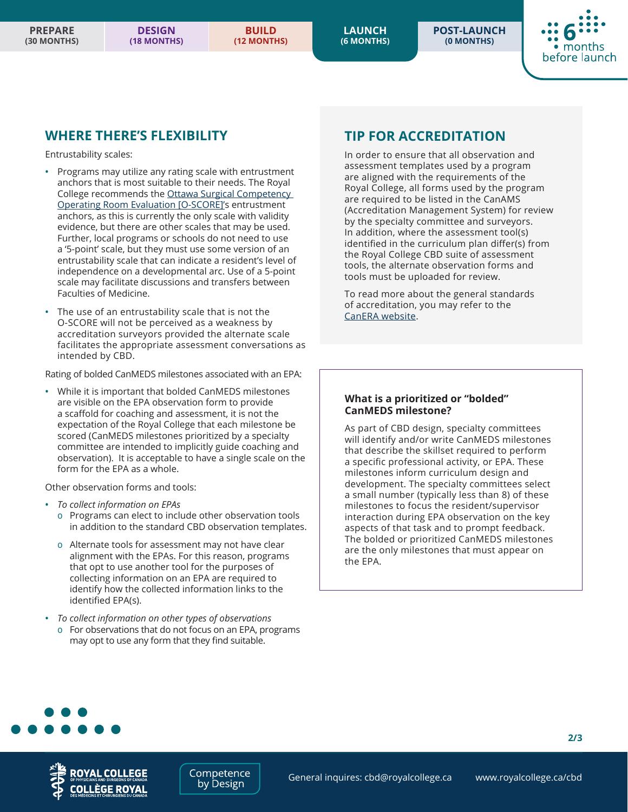**LAUNCH (6 MONTHS)** **POST-LAUNCH (0 MONTHS)**



#### **WHERE THERE'S FLEXIBILITY**

Entrustability scales:

- **•** Programs may utilize any rating scale with entrustment anchors that is most suitable to their needs. The Royal College recommends the [Ottawa Surgical Competency](https://journals.lww.com/academicmedicine/Pages/articleviewer.aspx?year=2012&issue=10000&article=00024&type=Fulltext)  [Operating Room Evaluation \[O-SCORE\]'](https://journals.lww.com/academicmedicine/Pages/articleviewer.aspx?year=2012&issue=10000&article=00024&type=Fulltext)s entrustment anchors, as this is currently the only scale with validity evidence, but there are other scales that may be used. Further, local programs or schools do not need to use a '5-point' scale, but they must use some version of an entrustability scale that can indicate a resident's level of independence on a developmental arc. Use of a 5-point scale may facilitate discussions and transfers between Faculties of Medicine.
- **•** The use of an entrustability scale that is not the O-SCORE will not be perceived as a weakness by accreditation surveyors provided the alternate scale facilitates the appropriate assessment conversations as intended by CBD.

Rating of bolded CanMEDS milestones associated with an EPA:

**•** While it is important that bolded CanMEDS milestones are visible on the EPA observation form to provide a scaffold for coaching and assessment, it is not the expectation of the Royal College that each milestone be scored (CanMEDS milestones prioritized by a specialty committee are intended to implicitly guide coaching and observation). It is acceptable to have a single scale on the form for the EPA as a whole.

Other observation forms and tools:

- **•** *To collect information on EPAs*
	- Programs can elect to include other observation tools in addition to the standard CBD observation templates.
	- Alternate tools for assessment may not have clear alignment with the EPAs. For this reason, programs that opt to use another tool for the purposes of collecting information on an EPA are required to identify how the collected information links to the identified EPA(s).
- **•** *To collect information on other types of observations* For observations that do not focus on an EPA, programs may opt to use any form that they find suitable.

### **TIP FOR ACCREDITATION**

In order to ensure that all observation and assessment templates used by a program are aligned with the requirements of the Royal College, all forms used by the program are required to be listed in the CanAMS (Accreditation Management System) for review by the specialty committee and surveyors. In addition, where the assessment tool(s) identified in the curriculum plan differ(s) from the Royal College CBD suite of assessment tools, the alternate observation forms and tools must be uploaded for review.

To read more about the general standards of accreditation, you may refer to the [CanERA website](www.canera.ca/canrac/home-e).

#### **What is a prioritized or "bolded" CanMEDS milestone?**

As part of CBD design, specialty committees will identify and/or write CanMEDS milestones that describe the skillset required to perform a specific professional activity, or EPA. These milestones inform curriculum design and development. The specialty committees select a small number (typically less than 8) of these milestones to focus the resident/supervisor interaction during EPA observation on the key aspects of that task and to prompt feedback. The bolded or prioritized CanMEDS milestones are the only milestones that must appear on the EPA.





**2/3**